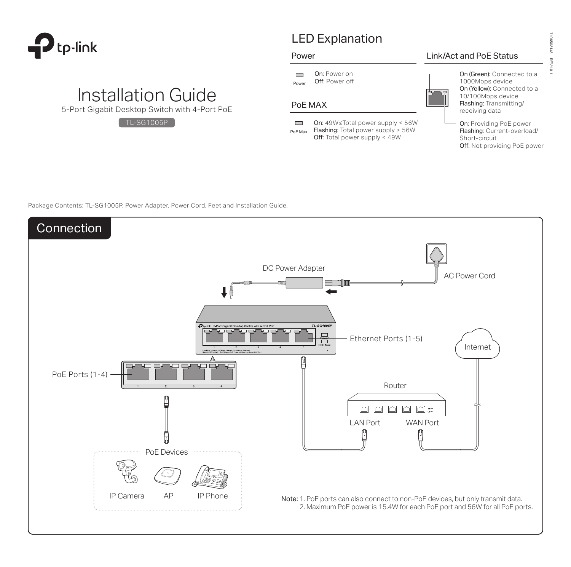

# LED Explanation

#### Power

On: Power on  $\Box$ Power Off: Power off

# PoE MAX

 $\Box$ On: 49W≤Total power supply < 56W Flashing: Total power supply ≥ 56W PoE Max Off: Total power supply < 49W

### Link/Act and PoE Status

- On (Green): Connected to a 1000Mbps device On (Yellow): Connected to a 10/100Mbps device Flashing: Transmitting/ receiving data
- On: Providing PoE power Flashing: Current-overload/ Short-circuit Off: Not providing PoE power

Package Contents: TL-SG1005P, Power Adapter, Power Cord, Feet and Installation Guide.

Installation Guide 5-Port Gigabit Desktop Switch with 4-Port PoE

TL-SG1005P



 $\overline{0}$ .